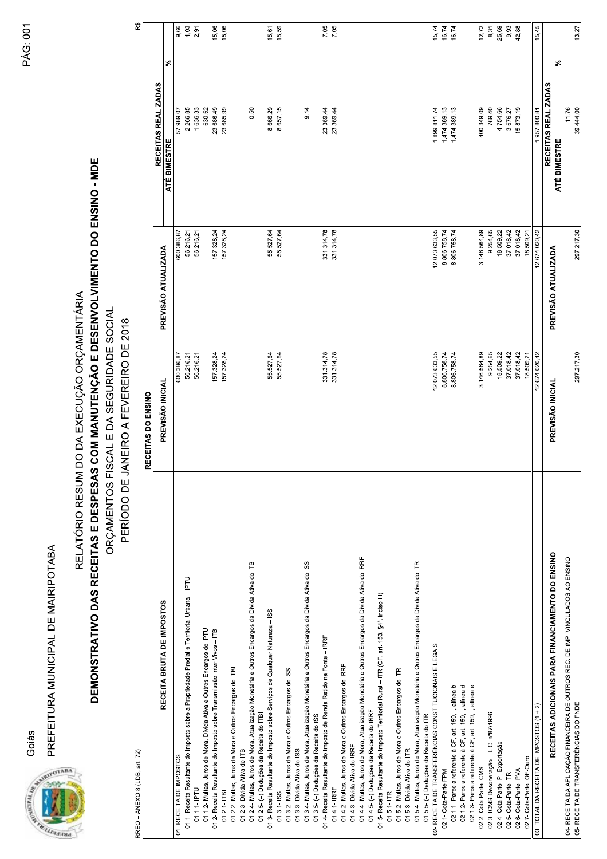Goiás

PREFEITURA MUNICIPAL DE MAIRIPOTABA



RELATÓRIO RESUMIDO DA EXECUÇÃO ORÇAMENTÁRIA

## DEMONSTRATIVO DAS RECEITAS E DESPESAS COM MANUTENÇÃO E DESENVOLVIMENTO DO ENSINO - MDE ORÇAMENTOS FISCAL E DA SEGURIDADE SOCIAL

PERÍODO DE JANEIRO A FEVEREIRO DE 2018

| ¢      |  |
|--------|--|
| 1      |  |
| Ĩ<br>ĵ |  |
| c      |  |
|        |  |
|        |  |
|        |  |
|        |  |

| RREO - ANEXO 8 (LDB, art. 72)                                                                  |                    |                     |                                     | ᄙ     |
|------------------------------------------------------------------------------------------------|--------------------|---------------------|-------------------------------------|-------|
|                                                                                                | RECEITAS DO ENSINO |                     |                                     |       |
| RECEITA BRUTA DE IMPOSTOS                                                                      | PREVISÃO INICIAL   | PREVISÃO ATUALIZADA | RECEITAS REALIZADAS<br>ATÉ BIMESTRE | వి    |
| 01- RECEITA DE IMPOSTOS                                                                        | 600.386,87         | 600.386,87          | 57.989,07                           | 9,66  |
| 01.1- Receita Resultante do Imposto sobre a Propriedade Predial e Territorial Urbana - IPTU    | 56.216,21          | 56.216,21           | 2.266,85                            | 4,03  |
| 01.1.1- IPTU                                                                                   | 56.216,21          | 56.216,21           | 1.636,33                            | 2,91  |
| 01.1.2- Multas, Juros de Mora, Dívida Ativa e Outros Encargos do IPTU                          |                    |                     | 630,52                              |       |
| 01.2- Receita Resultante do Imposto sobre Transmissão Inter Vivos - ITBI                       | 157.328,24         | 157.328,24          | 23.686,49                           | 15,06 |
| $01.2.1 - ITBI$                                                                                | 157.328,24         | 157.328,24          | 23.685,99                           | 15,06 |
| 01.2.2- Multas, Juros de Mora e Outros Encargos do ITBI                                        |                    |                     |                                     |       |
| 01.2.3- Dívida Ativa do ITBI                                                                   |                    |                     |                                     |       |
| 01.2.4- Multas, Juros de Mora, Atualização Monetária e Outros Encargos da Dívida Ativa do ITBI |                    |                     | 0,50                                |       |
| 01.2.5- (-) Deduções da Receita do ITBI                                                        |                    |                     |                                     |       |
| 01.3- Receita Resultante do Imposto sobre Serviços de Qualquer Natureza - ISS                  | 55.527,64          | 55.527,64           | 8.666,29                            | 15,61 |
| $01.3.1 - ISS$                                                                                 | 55.527,64          | 55.527,64           | 8.657,15                            | 15,59 |
| 01.3.2- Multas, Juros de Mora e Outros Encargos do ISS                                         |                    |                     |                                     |       |
| 01.3.3- Dívida Ativa do ISS                                                                    |                    |                     |                                     |       |
| 01.3.4- Multas, Juros de Mora, Atualização Monetária e Outros Encargos da Dívida Ativa do ISS  |                    |                     | 9,14                                |       |
| 01.3.5- (-) Deduções da Receita do ISS                                                         |                    |                     |                                     |       |
| 01.4- Receita Resultante do Imposto de Renda Retido na Fonte - IRRF                            | 331.314,78         | 331.314,78          | 23.369,44                           | 7,05  |
| 01.4.1- IRRF                                                                                   | 331.314,78         | 331.314,78          | 23.369,44                           | 7,05  |
| 01.4.2- Multas, Juros de Mora e Outros Encargos do IRRF                                        |                    |                     |                                     |       |
| 01.4.3- Dívida Ativa do IRRF                                                                   |                    |                     |                                     |       |
| 01.4.4- Multas, Juros de Mora, Atualização Monetária e Outros Encargos da Dívida Ativa do IRRF |                    |                     |                                     |       |
| 01.4.5- (-) Deduções da Receita do IRRF                                                        |                    |                     |                                     |       |
| 01.5- Receita Resultante do Imposto Territorial Rural - ITR (CF, art. 153, §4º, inciso III)    |                    |                     |                                     |       |
| $01.5.1 - ITR$                                                                                 |                    |                     |                                     |       |
| 01.5.2- Multas, Juros de Mora e Outros Encargos do ITR                                         |                    |                     |                                     |       |
| 01.5.3- Divida Ativa do ITR                                                                    |                    |                     |                                     |       |
| 01.5.4- Multas, Juros de Mora, Atualização Monetária e Outros Encargos da Dívida Ativa do ITR  |                    |                     |                                     |       |
| 01.5.5- (-) Deduções da Receita do ITR                                                         |                    |                     |                                     |       |
|                                                                                                |                    |                     |                                     |       |
| 02- RECEITA DE TRANSFERÊNCIAS CONSTITUCIONAIS E LEGAIS                                         | 12.073.633,55      | 12.073.633,55       | 1.899.811,74                        | 15,74 |
| 02.1- Cota-Parte FPM                                                                           | 8.806.758,74       | 8.806.758,74        | 1.474.389,13                        | 16,74 |
| 02.1.1- Parcela referente à CF, art. 159, I, alinea b                                          | 8.806.758,74       | 8.806.758,74        | 1.474.389,13                        | 16,74 |
| 02.1.2- Parcela referente à CF, art. 159, I, alinea d                                          |                    |                     |                                     |       |
| 02.1.3- Parcela referente à CF, art. 159, I, alinea e                                          |                    |                     |                                     |       |
| 02.2- Cota-Parte ICMS                                                                          | 3.146.564,89       | 3.146.564,89        | 400.349,09                          | 12,72 |
| 02.3- ICMS-Desoneração - L.C. nº87/1996                                                        | 9.254,65           | 9.254,65            | 769,40                              | 8,31  |
| 02.4- Cota-Parte IPI-Exportação                                                                | 18.509,22          | 18.509,22           | 4.754,66                            | 25,69 |
| 02.5- Cota-Parte ITR                                                                           | 37.018,42          | 37.018,42           | 3.676,27                            | 9,93  |
| 02.6- Cota-Parte IPVA                                                                          | 37.018,42          | 37.018,42           | 15.873,19                           | 42,88 |
| 02.7- Cota-Parte IOF-Ouro                                                                      | 18.509,21          | 18.509,21           |                                     |       |
| 03- TOTAL DA RECEITA DE IMPOSTOS (1 + 2)                                                       | 12.674.020,42      | 12.674.020,42       | 1.957.800,81                        | 15,45 |
|                                                                                                |                    |                     | RECEITAS REALIZADAS                 |       |
| RECEITAS ADICIONAIS PARA FINANCIAMENTO DO ENSINO                                               | PREVISÃO INICIAL   | PREVISÃO ATUALIZADA | ATÉ BIMESTRE                        | వి    |
| 04- RECEITA DA APLICAÇÃO FINANCEIRA DE OUTROS REC. DE IMP. VINCULADOS AO ENSINO                |                    |                     | 11,76                               |       |
| 05- RECEITA DE TRANSFERÊNCIAS DO FNDE                                                          | 297.217,30         | 297.217,30          | 39.444,00                           | 13,27 |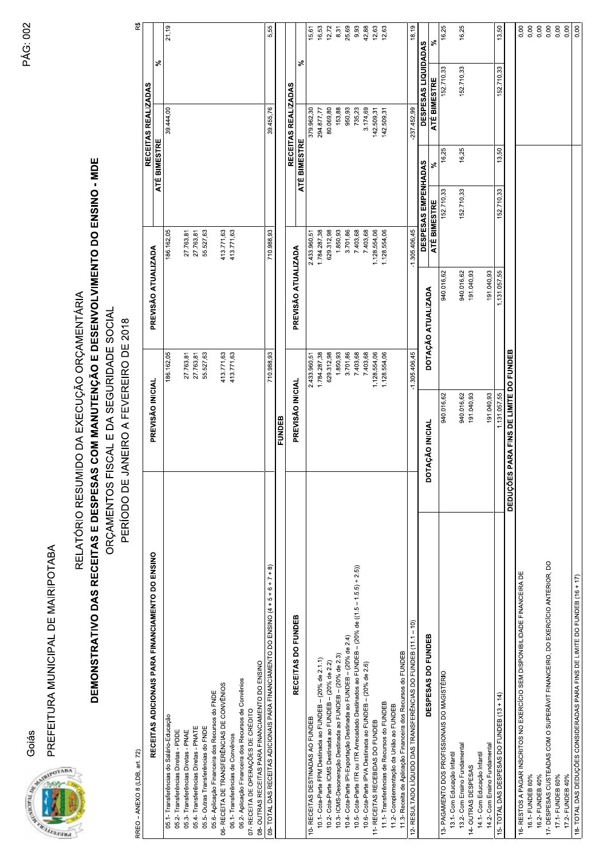Goiás AND CONTRACTOR

PREFEITURA MUNICIPAL DE MAIRIPOTABA

DEMONSTRATIVO DAS RECEITAS E DESPESAS COM MANUTENÇÃO E DESENVOLVIMENTO DO ENSINO - MDE RELATÓRIO RESUMIDO DA EXECUÇÃO ORÇAMENTÁRIA

ORÇAMENTOS FISCAL E DA SEGURIDADE SOCIAL PERÍODO DE JANEIRO A FEVEREIRO DE 2018

| RREO – ANEXO 8 (LDB, art. 72)                                                                |                                        |                 |                     |                 |                     |              |                            | R\$          |
|----------------------------------------------------------------------------------------------|----------------------------------------|-----------------|---------------------|-----------------|---------------------|--------------|----------------------------|--------------|
|                                                                                              |                                        |                 |                     |                 |                     |              | RECEITAS REALIZADAS        |              |
| RECEITAS ADICIONAIS PARA FINANCIAMENTO DO ENSINO                                             | PREVISÃO INICIAL                       |                 | PREVISÃO ATUALIZADA |                 |                     | ATÉ BIMESTRE |                            | వి           |
| 05.1- Transferências do Salário-Educação                                                     |                                        | 186.162,05      |                     | 186.162,05      |                     |              | 39.444,00                  | 21,19        |
| 05.2- Transferências Diretas - PDDE                                                          |                                        |                 |                     |                 |                     |              |                            |              |
| 05.3- Transferências Diretas - PNAE                                                          |                                        | 27.763,81       |                     | 27.763,81       |                     |              |                            |              |
| 05.4- Transferências Diretas - PNATE                                                         |                                        | 27.763,81       |                     | 27.763,81       |                     |              |                            |              |
| 05.5- Outras Transferências do FNDE                                                          |                                        | 55.527,63       |                     | 55.527,63       |                     |              |                            |              |
| 05.6- Aplicação Financeira dos Recursos do FNDE                                              |                                        |                 |                     |                 |                     |              |                            |              |
| 06- RECEITA DE TRANSFERÊNCIAS DE CONVÊNIOS                                                   |                                        | 413.771,63      |                     | 413.771,63      |                     |              |                            |              |
| 06.1- Transferências de Convênios                                                            |                                        | 413.771,63      |                     | 413.771,63      |                     |              |                            |              |
| 06.2- Aplicação Financeira dos Recursos de Convênios                                         |                                        |                 |                     |                 |                     |              |                            |              |
| 07- RECEITA DE OPERAÇÕES DE CRÉDITO                                                          |                                        |                 |                     |                 |                     |              |                            |              |
| 08- OUTRAS RECEITAS PARA FINANCIAMENTO DO ENSINO                                             |                                        |                 |                     |                 |                     |              |                            |              |
| 09- TOTAL DAS RECEITAS ADICIONAIS PARA FINANCIAMENTO DO ENSINO (4 + 5 + 6 + 7 + 8)           |                                        | 710.988,93      |                     | 710.988,93      |                     |              | 39.455,76                  | 5,55         |
|                                                                                              | FUNDEB                                 |                 |                     |                 |                     |              |                            |              |
|                                                                                              |                                        |                 |                     |                 |                     |              | RECEITAS REALIZADAS        |              |
| RECEITAS DO FUNDEB                                                                           | PREVISÃO INICIAL                       |                 | PREVISÃO ATUALIZADA |                 |                     | ATÉ BIMESTRE |                            | వి           |
| 10- RECEITAS DESTINADAS AO FUNDEB                                                            |                                        | 2.433.960,51    |                     | 2.433.960,51    |                     |              | 379.962,30                 | 15,61        |
| 10.1- Cota-Parte FPM Destinada ao FUNDEB - (20% de 2.1.1)                                    |                                        | 1.784.287,38    |                     | 1.784.287,38    |                     |              | 294.877,77                 | 16,53        |
| 10.2- Cota-Parte ICMS Destinada ao FUNDEB - (20% de 2.2)                                     |                                        | 629.312,98      |                     | 629.312,98      |                     |              | 80.069,80                  | 12,72        |
| 10.3- ICMS-Desoneração Destinada ao FUNDEB - (20% de 2.3)                                    |                                        | 1.850,93        |                     | 1.850,93        |                     |              | 153,88                     | 8,31         |
| 10.4- Cota-Parte IPI-Exportação Destinada ao FUNDEB - (20% de 2.4)                           |                                        | 3.701,86        |                     | 3.701,86        |                     |              | 950,93                     | 25,69        |
| 10.5- Cota-Parte ITR ou ITR Arrecadado Destinados ao FUNDEB - (20% de ((1.5 - 1.5.5) + 2.5)) |                                        | 7.403,68        |                     | 7.403,68        |                     |              | 735,23                     | 9,93         |
| 10.6- Cota-Parte IPVA Destinada ao FUNDEB - (20% de 2.6)                                     |                                        | 7.403,68        |                     | 7.403,68        |                     |              | 3.174,69                   | 42,88        |
| 11- RECEITAS RECEBIDAS DO FUNDEB                                                             |                                        | 1.128.554,06    |                     | 1.128.554,06    |                     |              | 142.509,31                 | 12,63        |
| 11.1- Transferências de Recursos do FUNDEB                                                   |                                        | 1.128.554,06    |                     | 1.128.554,06    |                     |              | 142.509,31                 | 12,63        |
| 11.2- Complementação da União ao FUNDEB                                                      |                                        |                 |                     |                 |                     |              |                            |              |
| 11.3- Receita de Aplicação Financeira dos Recursos do FUNDEB                                 |                                        |                 |                     |                 |                     |              |                            |              |
| 12- RESULTADO LÍQUIDO DAS TRANSFERÊNCIAS DO FUNDEB (11.1 - 10)                               |                                        | $-1.305,406,45$ |                     | $-1.305,406,45$ |                     |              | 237.452,99                 | 18,19        |
|                                                                                              |                                        |                 |                     |                 | DESPESAS EMPENHADAS |              | <b>DESPESAS LIQUIDADAS</b> |              |
| DESPESAS DO FUNDEB                                                                           | DOTAÇÃO INICIAL                        |                 | DOTAÇÃO ATUALIZADA  | ATÉ BIMESTRE    |                     | వ్           | <b>ATÉ BIMESTRE</b>        | వ్           |
| 13- PAGAMENTO DOS PROFISSIONAIS DO MAGISTÉRIO                                                | 940.016,62                             |                 | 940.016,62          |                 | 152.710,33          | 16,25        | 152.710,33                 | 16,25        |
| 13.1- Com Educação Infanti                                                                   |                                        |                 |                     |                 |                     |              |                            |              |
| 13.2- Com Ensino Fundamental                                                                 | 940.016,62                             |                 | 940.016,62          |                 | 152.710,33          | 16,25        | 152.710,33                 | 16,25        |
| 14- OUTRAS DESPESAS                                                                          | 191.040,93                             |                 | 191.040,93          |                 |                     |              |                            |              |
| 14.1- Com Educação Infantil                                                                  |                                        |                 |                     |                 |                     |              |                            |              |
| 14.2- Com Ensino Fundamental                                                                 | 191.040,93                             |                 | 191.040,93          |                 |                     |              |                            |              |
| 15- TOTAL DAS DESPESAS DO FUNDEB (13 + 14)                                                   | 1.131.057,55                           |                 | 1.131.057,55        |                 | 152.710,33          | 13,50        | 152.710,33                 | 13,50        |
|                                                                                              | DEDUÇÕES PARA FINS DE LIMITE DO FUNDEB |                 |                     |                 |                     |              |                            |              |
| 16- RESTOS A PAGAR INSCRITOS NO EXERCÍCIO SEM DISPONIBILIDADE FINANCEIRA DE                  |                                        |                 |                     |                 |                     |              |                            | 0,00         |
| 16.1- FUNDEB 60%                                                                             |                                        |                 |                     |                 |                     |              |                            | 0,00         |
| 16.2- FUNDEB 40%                                                                             |                                        |                 |                     |                 |                     |              |                            | 0,00         |
| 17- DESPESAS CUSTEADAS COM O SUPERÁVIT FINANCEIRO, DO EXERCÍCIO ANTERIOR, DO                 |                                        |                 |                     |                 |                     |              |                            | 0,00         |
| 17.1- FUNDEB 60%<br>17.2- FUNDEB 40%                                                         |                                        |                 |                     |                 |                     |              |                            | 0,00<br>0,00 |
| 18- TOTAL DAS DEDLICÕES CONSIDERADAS BARA EINIS DE LIMITE DO ELINDER (16 + 17)               |                                        |                 |                     |                 |                     |              |                            | n nn         |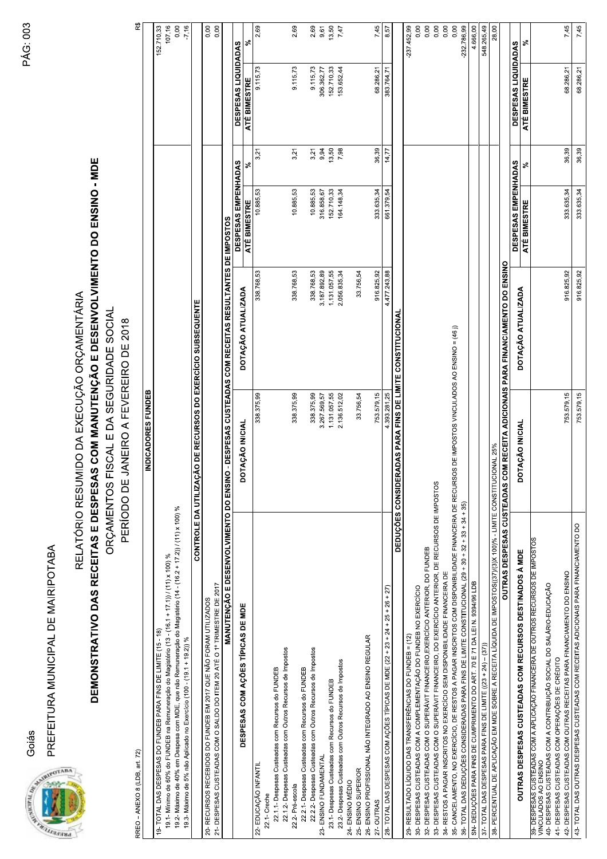Goiás

PREFEITURA MUNICIPAL DE MAIRIPOTABA



RREO - ANEXO 8 (LDB, art. 72)

RELATÓRIO RESUMIDO DA EXECUÇÃO ORÇAMENTÁRIA

## DEMONSTRATIVO DAS RECEITAS E DESPESAS COM MANUTENÇÃO E DESENVOLVIMENTO DO ENSINO - MDE ORÇAMENTOS FISCAL E DA SEGURIDADE SOCIAL

PERÍODO DE JANEIRO A FEVEREIRO DE 2018

ಜಿ

|                                                                                                                                                  | INDICADORES FUNDEB                                |                                                               |                     |       |                            |               |
|--------------------------------------------------------------------------------------------------------------------------------------------------|---------------------------------------------------|---------------------------------------------------------------|---------------------|-------|----------------------------|---------------|
| 19- TOTAL DAS DESPESAS DO FUNDEB PARA FINS DE LIMITE (15 - 18)                                                                                   |                                                   |                                                               |                     |       |                            | 152.710,33    |
| 19.1 - Mínimo de 60% do FUNDEB na Remuneração do Magistério (13 - (16.1 + 17.1)) / (11) x 100) %                                                 |                                                   |                                                               |                     |       |                            | 107,16        |
| 19.2- Máximo de 40% em Despesa com MDE, que não Remuneração do Magistério (14 - (16.2 + 17.2)) / (11) x 100) %                                   |                                                   |                                                               |                     |       |                            | 0,00          |
| 19.3- Máximo de 5% não Aplicado no Exercício (100 - (19.1 + 19.2)) %                                                                             |                                                   |                                                               |                     |       |                            | $-7,16$       |
| CONTROLE DA UTILIZ                                                                                                                               | AÇÃO DE RECURSOS DO EXERCÍCIO SUBSEQUENTE         |                                                               |                     |       |                            |               |
| 21- DESPESAS CUSTEADAS COM O SALDO DO ITEM 20 ATÉ O 1º TRIMESTRE DE 2017<br>20- RECURSOS RECEBIDOS DO FUNDEB EM 2017 QUE NÃO FORAM UTILIZADOS    |                                                   |                                                               |                     |       |                            | 0,00<br>0,00  |
| MANUTENÇÃO E DESENVOLVIMENTO DO ENS                                                                                                              |                                                   | INO - DESPESAS CUSTEADAS COM RECEITAS RESULTANTES DE IMPOSTOS |                     |       |                            |               |
|                                                                                                                                                  |                                                   |                                                               | DESPESAS EMPENHADAS |       | <b>DESPESAS LIQUIDADAS</b> |               |
| DESPESAS COM AÇÕES TÍPICAS DE MDE                                                                                                                | DOTAÇÃO INICIAL                                   | DOTAÇÃO ATUALIZADA                                            | ATÉ BIMESTRE        | న్    | ATÉ BIMESTRE               | వ             |
| 22- EDUCAÇÃO INFANTIL                                                                                                                            | 338.375,99                                        | 338.768,53                                                    | 10.885,53           | 3,21  | 9.115,73                   | 2,69          |
| 22.1-Creche                                                                                                                                      |                                                   |                                                               |                     |       |                            |               |
| 22.1.1- Despesas Custeadas com Recursos do FUNDEB                                                                                                |                                                   |                                                               |                     |       |                            |               |
| 22.1.2- Despesas Custeadas com Outros Recursos de Impostos                                                                                       |                                                   |                                                               |                     |       |                            |               |
| 22.2- Pré-escola                                                                                                                                 | 338.375,99                                        | 338.768,53                                                    | 10.885,53           | 3,21  | 9.115,73                   | 2,69          |
| 22.2.1- Despesas Custeadas com Recursos do FUNDEB                                                                                                |                                                   |                                                               |                     |       |                            |               |
| 22.2.2- Despesas Custeadas com Outros Recursos de Impostos                                                                                       | 338.375,99                                        | 338.768,53                                                    | 10.885,53           | 3,21  | 9.115,73                   | 2,69          |
| 23- ENSINO FUNDAMENTAL                                                                                                                           | 3.267.569,57                                      | 3.187.892,89                                                  | 316.858,67          | 9,94  | 306.362,77                 | 9,61          |
| 23.1- Despesas Custeadas com Recursos do FUNDEB                                                                                                  | 1.131.057,55                                      | 1.131.057,55                                                  | 152.710,33          | 13,50 | 152.710,33                 | 13,50         |
| 23.2- Despesas Custeadas com Outros Recursos de Impostos                                                                                         | 2.136.512,02                                      | 2.056.835,34                                                  | 164.148,34          | 7,98  | 153.652,44                 | 7,47          |
| 24- ENSINO MÉDIO                                                                                                                                 |                                                   |                                                               |                     |       |                            |               |
| 25- ENSINO SUPERIOR                                                                                                                              | 33.756,54                                         | 33.756,54                                                     |                     |       |                            |               |
| 26- ENSINO PROFISSIONAL NÃO INTEGRADO AO ENSINO REGULAR                                                                                          |                                                   |                                                               |                     |       |                            |               |
| 27-OUTRAS                                                                                                                                        | 753.579,15                                        | 916.825,92                                                    | 333.635,34          | 36,39 | 68.286,21                  | 7,45          |
| 28- TOTAL DAS DESPESAS COM AÇÕES TÍPICAS DE MDE (22 + 23 + 24 + 25 + 26 + 27)                                                                    | 4.393.281,25                                      | 4.477.243,88                                                  | 661.379,54          | 14,77 | 383.764,71                 | 8,57          |
| DEDUÇÕES CONSI                                                                                                                                   | <b>DERADAS PARA FINS DE LIMITE CONSTITUCIONAL</b> |                                                               |                     |       |                            |               |
| 29- RESULTADO LÍQUIDO DAS TRANSFERÊNCIAS DO FUNDEB = (12)                                                                                        |                                                   |                                                               |                     |       |                            | $-237.452,99$ |
| 30- DESPESAS CUSTEADAS COM A COMPLEMENTAÇÃO DO FUNDEB NO EXERCÍCIO                                                                               |                                                   |                                                               |                     |       |                            |               |
| 32- DESPESAS CUSTEADAS COM O SUPERÁVIT FINANCEIRO, EXERCÍCIO ANTERIOR, DO FUNDEB                                                                 |                                                   |                                                               |                     |       |                            | 0,00<br>0,00  |
| 33- DESPESAS CUSTEADAS COM O SUPERÁVIT FINANCEIRO, DO EXERCÍCIO ANTERIOR, DE RECURSOS DE IMPOSTOS                                                |                                                   |                                                               |                     |       |                            | 0,00          |
| 34- RESTOS A PAGAR INSCRITOS NO EXERCÍCIO SEM DISPONIBILIDADE FINANCEIRA DE                                                                      |                                                   |                                                               |                     |       |                            | 0,00          |
| 35- CANCELAMENTO, NO EXERCÍCIO, DE RESTOS A PAGAR INSCRITOS COM DISPONIBILIDADE FINANCEIRA DE RECURSOS DE IMPOSTOS VINCULADOS AO ENSINO = (46 )) |                                                   |                                                               |                     |       |                            | 0,00          |
| 36- TOTAL DAS DEDUÇÕES CONSIDERADAS PARA FINS DE LIMITE CONSTITUCIONAL (29 + 30 + 32 + 33 + 34 + 35)                                             |                                                   |                                                               |                     |       |                            | 232.786,99    |
| SN- DEDUÇÕES PARA FINS DE CUMPRIMENTO DO ART. 70 E 71 DA LEI N. 9394/96 LDB                                                                      |                                                   |                                                               |                     |       |                            | 4.666,00      |
| 37- TOTAL DAS DESPESAS PARA FINS DE LIMITE ((23 + 24) - (37))                                                                                    |                                                   |                                                               |                     |       |                            | 548.265,49    |
| 36- PERCENTUAL DE APLICAÇÃO EM MDE SOBRE A RECEITA LÍQUIDA DE IMPOSTOS((37)/(3)X 100)% - LIMITE CONSTITUCIONAL 25%                               |                                                   |                                                               |                     |       |                            | 28,00         |
| OUTRAS DESPESAS CUSTEADAS                                                                                                                        |                                                   | COM RECEITA ADICIONAIS PARA FINANCIAMENTO DO ENSINO           |                     |       |                            |               |
|                                                                                                                                                  |                                                   |                                                               | DESPESAS EMPENHADAS |       | <b>DESPESAS LIQUIDADAS</b> |               |
| OUTRAS DESPESAS CUSTEADAS COM RECURSOS DESTINADOS À MDE                                                                                          | DOTAÇÃO INICIAL                                   | DOTAÇÃO ATUALIZADA                                            | ATÉ BIMESTRE        | వ్    | ATÉ BIMESTRE               | వ్            |
| 39- DESPESAS CUSTEADAS COM A APLICAÇÃO FINANCEIRA DE OUTROS RECURSOS DE IMPOSTOS<br>VINCULADOS AO ENSINO                                         |                                                   |                                                               |                     |       |                            |               |
| 40- DESPESAS CUSTEADAS COM A CONTRIBUIÇÃO SOCIAL DO SALÁRIO-EDUCAÇÃO                                                                             |                                                   |                                                               |                     |       |                            |               |
| 42- DESPESAS CUSTEADAS COM OUTRAS RECEITAS PARA FINANCIAMENTO DO ENSINO<br>41- DESPESAS CUSTEADAS COM OPERAÇÕES DE CRÉDITO                       | 753.579,15                                        | 916.825,92                                                    | 333.635,34          | 36,39 | 68.286,21                  | 7,45          |
| 43- TOTAL DAS OUTRAS DESPESAS CUSTEADAS COM RECEITAS ADICIONAIS PARA FINANCIAMENTO DO                                                            |                                                   |                                                               |                     |       |                            |               |
|                                                                                                                                                  | 753.579,15                                        | 916.825,92                                                    | 333.635,34          | 36,39 | 68.286,21                  | 7,45          |